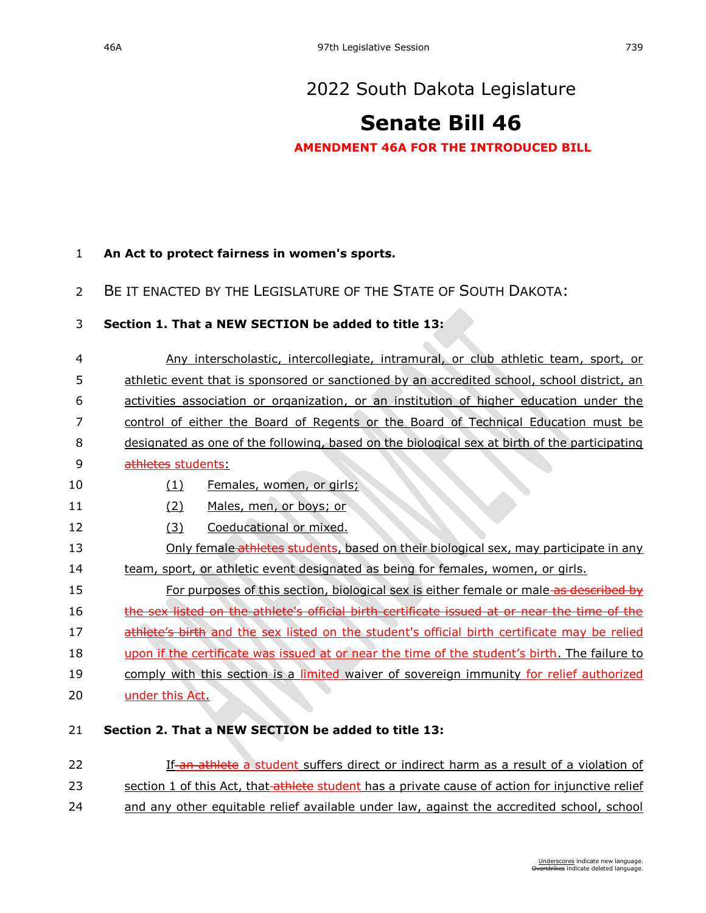# [2022 South Dakota Legislature](https://sdlegislature.gov/Session/Bills/64)

# **[Senate Bill 46](https://sdlegislature.gov/Session/Bill/22957)**

### **AMENDMENT 46A FOR THE INTRODUCED BILL**

### 1 **An Act to protect fairness in women's sports.**

## 2 BE IT ENACTED BY THE LEGISLATURE OF THE STATE OF SOUTH DAKOTA:

### 3 **Section 1. That a NEW SECTION be added to title 13:**

 Any interscholastic, intercollegiate, intramural, or club athletic team, sport, or athletic event that is sponsored or sanctioned by an accredited school, school district, an activities association or organization, or an institution of higher education under the control of either the Board of Regents or the Board of Technical Education must be designated as one of the following, based on the biological sex at birth of the participating 9 athletes students: 10 (1) Females, women, or girls; (2) Males, men, or boys; or 12 (3) Coeducational or mixed. 13 Only female athletes students, based on their biological sex, may participate in any team, sport, or athletic event designated as being for females, women, or girls. **For purposes of this section, biological sex is either female or male as described by** 16 the sex listed on the athlete's official birth certificate issued at or near the time of the 17 athlete's birth and the sex listed on the student's official birth certificate may be relied upon if the certificate was issued at or near the time of the student's birth. The failure to 19 comply with this section is a limited waiver of sovereign immunity for relief authorized under this Act. **Section 2. That a NEW SECTION be added to title 13:**

- 22 **If-an athlete** a student suffers direct or indirect harm as a result of a violation of
- 23 section 1 of this Act, that athlete student has a private cause of action for injunctive relief
- 24 and any other equitable relief available under law, against the accredited school, school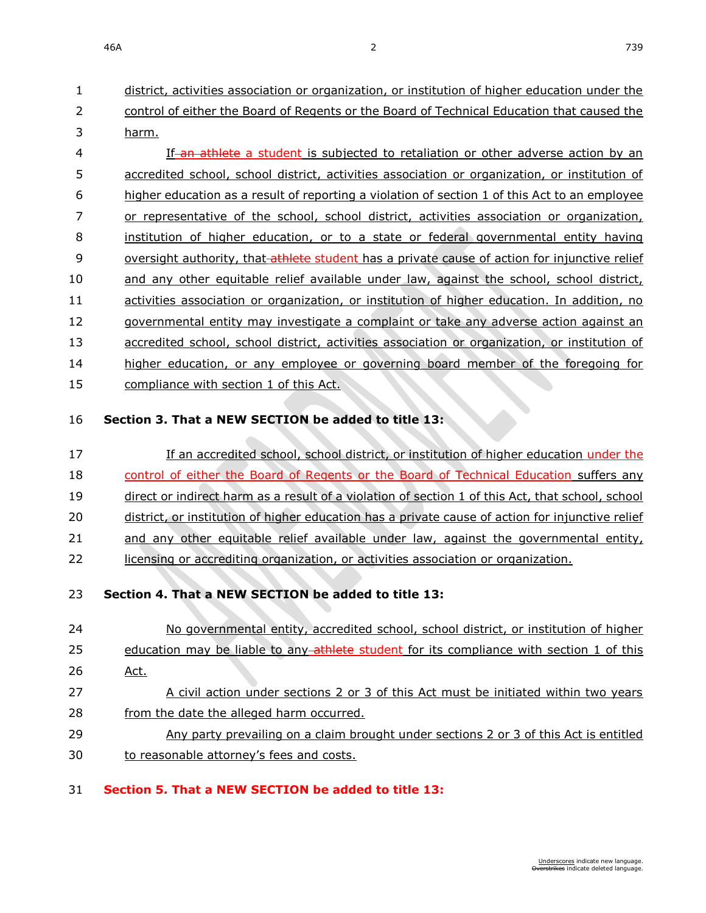46A 22 739

 district, activities association or organization, or institution of higher education under the control of either the Board of Regents or the Board of Technical Education that caused the harm. 4 If an athlete a student is subjected to retaliation or other adverse action by an accredited school, school district, activities association or organization, or institution of higher education as a result of reporting a violation of section 1 of this Act to an employee or representative of the school, school district, activities association or organization, institution of higher education, or to a state or federal governmental entity having 9 oversight authority, that athlete student has a private cause of action for injunctive relief and any other equitable relief available under law, against the school, school district,

- activities association or organization, or institution of higher education. In addition, no
- 12 governmental entity may investigate a complaint or take any adverse action against an
- 13 accredited school, school district, activities association or organization, or institution of
- higher education, or any employee or governing board member of the foregoing for
- 15 compliance with section 1 of this Act.

## **Section 3. That a NEW SECTION be added to title 13:**

# **If an accredited school, school district, or institution of higher education under the** 18 control of either the Board of Regents or the Board of Technical Education suffers any direct or indirect harm as a result of a violation of section 1 of this Act, that school, school district, or institution of higher education has a private cause of action for injunctive relief and any other equitable relief available under law, against the governmental entity, licensing or accrediting organization, or activities association or organization.

## **Section 4. That a NEW SECTION be added to title 13:**

 No governmental entity, accredited school, school district, or institution of higher 25 education may be liable to any athlete student for its compliance with section 1 of this Act. A civil action under sections 2 or 3 of this Act must be initiated within two years from the date the alleged harm occurred. Any party prevailing on a claim brought under sections 2 or 3 of this Act is entitled 30 to reasonable attorney's fees and costs.

## **Section 5. That a NEW SECTION be added to title 13:**